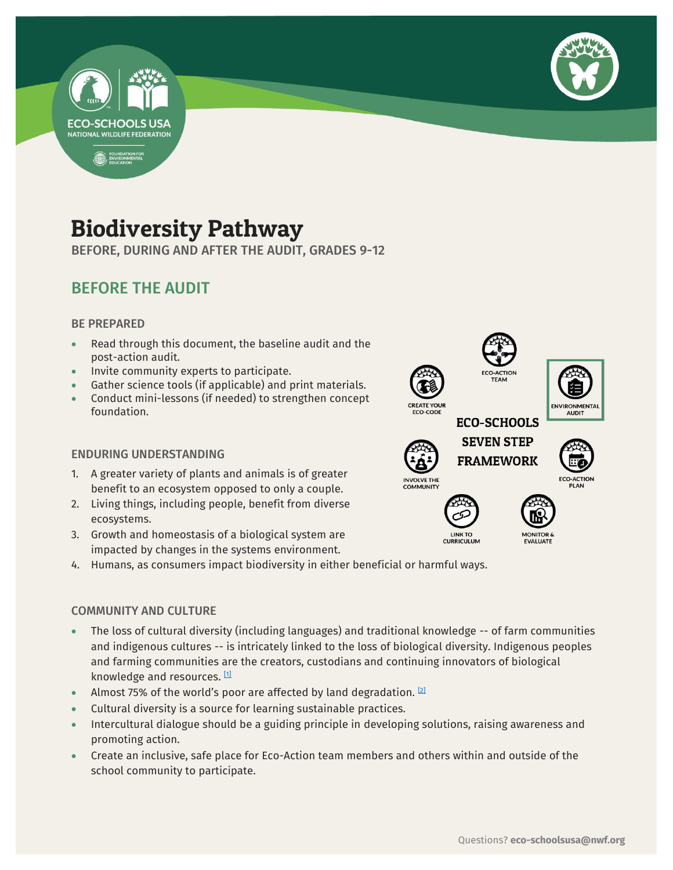



# Biodiversity Pathway

BEFORE, DURING AND AFTER THE AUDIT, GRADES 9-12

# BEFORE THE AUDIT

## BE PREPARED

- Read through this document, the baseline audit and the post-action audit.
- Invite community experts to participate.
- Gather science tools (if applicable) and print materials.
- Conduct mini-lessons (if needed) to strengthen concept foundation.

## ENDURING UNDERSTANDING

- 1. A greater variety of plants and animals is of greater benefit to an ecosystem opposed to only a couple.
- 2. Living things, including people, benefit from diverse ecosystems.
- 3. Growth and homeostasis of a biological system are impacted by changes in the systems environment.
- 4. Humans, as consumers impact biodiversity in either beneficial or harmful ways.

## COMMUNITY AND CULTURE

- The loss of cultural diversity (including languages) and traditional knowledge -- of farm communities and indigenous cultures -- is intricately linked to the loss of biological diversity. Indigenous peoples and farming communities are the creators, custodians and continuing innovators of biological knowledge and resources. [\[1\]](https://www.etcgroup.org/issues/biodiversity-cultural-diversity)
- Almost 75% of the world's poor are affected by land degradation.  $[2]$
- Cultural diversity is a source for learning sustainable practices.
- Intercultural dialogue should be a guiding principle in developing solutions, raising awareness and promoting action.
- Create an inclusive, safe place for Eco-Action team members and others within and outside of the school community to participate.

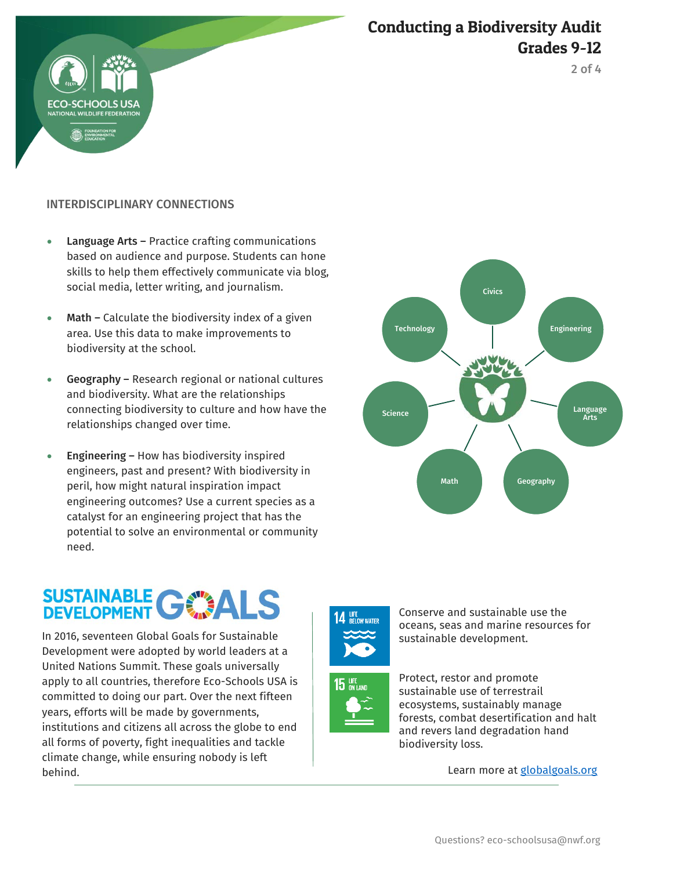# Conducting a Biodiversity Audit Grades 9-12



# INTERDISCIPLINARY CONNECTIONS

- Language Arts Practice crafting communications based on audience and purpose. Students can hone skills to help them effectively communicate via blog, social media, letter writing, and journalism.
- Math Calculate the biodiversity index of a given area. Use this data to make improvements to biodiversity at the school.
- Geography Research regional or national cultures and biodiversity. What are the relationships connecting biodiversity to culture and how have the relationships changed over time.
- **Engineering How has biodiversity inspired** engineers, past and present? With biodiversity in peril, how might natural inspiration impact engineering outcomes? Use a current species as a catalyst for an engineering project that has the potential to solve an environmental or community need.

# Civics Engineering Language Arts Math Geography Science Technology

# SUSTAINABLE GWALS

 In 2016, seventeen Global Goals for Sustainable Development were adopted by world leaders at a United Nations Summit. These goals universally apply to all countries, therefore Eco-Schools USA is committed to doing our part. Over the next fifteen years, efforts will be made by governments, institutions and citizens all across the globe to end all forms of poverty, fight inequalities and tackle climate change, while ensuring nobody is left behind.





Conserve and sustainable use the oceans, seas and marine resources for sustainable development.



Learn more at [globalgoals.org](https://www.globalgoals.org/)

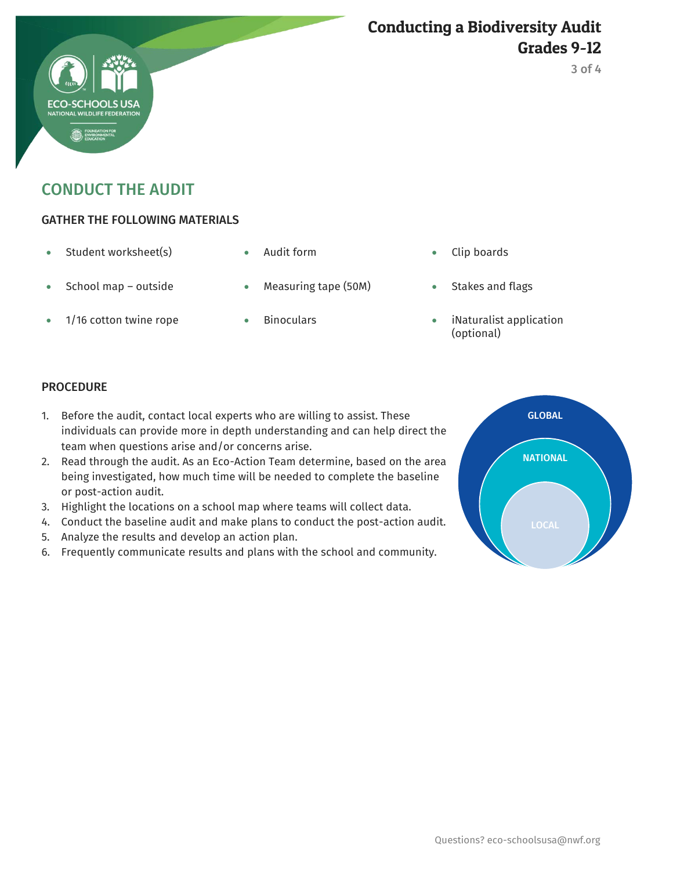# Conducting a Biodiversity Audit Grades 9-12

CONDUCT THE AUDIT

# GATHER THE FOLLOWING MATERIALS

- Student worksheet(s) Audit form Clip boards
- School map outside Measuring tape (50M) Stakes and flags
- 
- 
- 
- 
- 
- 1/16 cotton twine rope Binoculars iNaturalist application (optional)

## PROCEDURE

- 1. Before the audit, contact local experts who are willing to assist. These individuals can provide more in depth understanding and can help direct the team when questions arise and/or concerns arise.
- 2. Read through the audit. As an Eco-Action Team determine, based on the area being investigated, how much time will be needed to complete the baseline or post-action audit.
- 3. Highlight the locations on a school map where teams will collect data.
- 4. Conduct the baseline audit and make plans to conduct the post-action audit.
- 5. Analyze the results and develop an action plan.
- 6. Frequently communicate results and plans with the school and community.